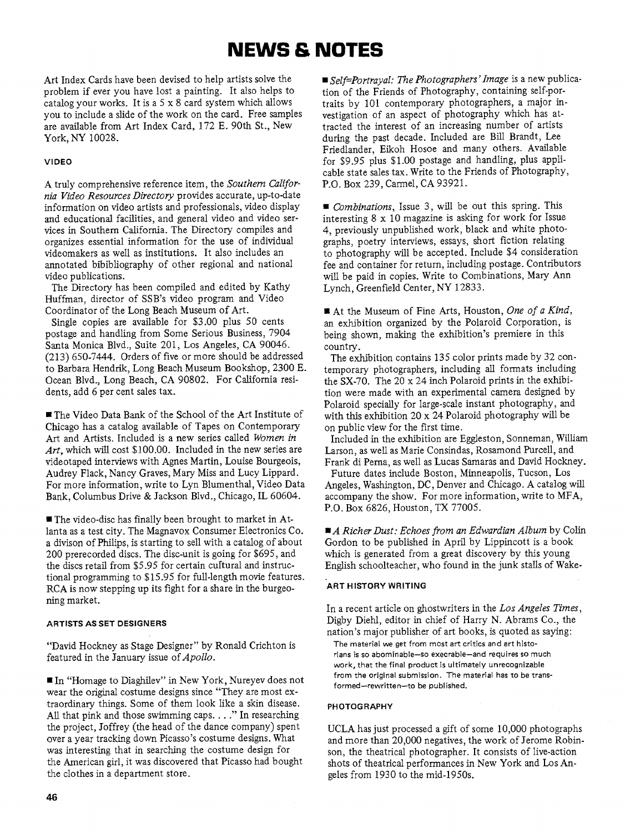# **NEWS & NOTES**

Art Index Cards have been devised to help artists solve the problem if ever you have lost a painting. It also helps to catalog your works. It is a  $5 \times 8$  card system which allows you to include a slide of the work on the card. Free samples are available from Art Index Card, 172 E. 90th St., New York, NY 10028.

### **VIDEO**

A truly comprehensive reference item, the *Southern Gzlifornia Video Resources Directory* provides accurate, up-to-date information on video artists and professionals, video display and educational facilities, and general video and video services in Southern California. The Directory compiles and organizes essential information for the use of individual videomakers as well as institutions. It also includes an annotated bibibliography of other regional and national video publications.

The Directory has been compiled and edited by Kathy Huffman, director of SSB's video program and Video Coordinator of the Long Beach Museum of Art.

Single copies are available for \$3.00 plus 50 cents postage and handling from Some Serious Business, 7904 Santa Monica Blvd., Suite 201, Los Angeles, CA 90046. (213) 650-7444. Orders of five or more should be addressed to Barbara Hendrik, Long Beach Museum Bookshop, 2300 E. Ocean Blvd., Long Beach, CA 90802. For California residents, add 6 per cent sales tax.

The Video Data Bank of the School of the Art Institute of Chicago has a catalog available of Tapes on Contemporary Art and Artists. Included is a new series called *Women in Art,* which will cost \$100.00. Included in the new series are videotaped interviews with Agnes Martin, Louise Bourgeois, Audrey Flack, Nancy Graves, Mary Miss and Lucy Lippard. For more information, write to Lyn Blumenthal, Video Data Bank, Columbus Drive & Jackson Blvd., Chicago, IL 60604.

The video-disc has finally been brought to market in Atlanta as a test city. The Magnavox Consumer Electronics Co. a divison of Philips, is starting to sell with a catalog of about 200 prerecorded discs. The disc-unit is going for \$695, and the discs retail from \$5.95 for certain cultural and instructional programming to \$15.95 for full-length movie features. RCA is now stepping up its fight for a share in the burgeoning market.

### **ARTISTS AS SET DESIGNERS**

"David Hockney as Stage Designer" by Ronald Crichton is featured in the January issue of *Apollo.* 

■ In "Homage to Diaghilev" in New York, Nureyev does not wear the original costume designs since "They are most extraordinary things. Some of them look like a skin disease. All that pink and those swimming caps. . . ." In researching the project, Joffrey (the head of the dance company) spent over a year tracking down Picasso's costume designs. What was interesting that in searching the costume design for the American girl, it was discovered that Picasso had bought the clothes in a department store.

*Self=Portrayal: The Photographers* ' *Image* is a new publication of the Friends of Photography, containing self-portraits by 101 contemporary photographers, a major investigation of an aspect of photography which has attracted the interest of an increasing number of artists during the past decade. Included are Bill Brandt, Lee Friedlander, Eikoh Hosoe and many others. Available for \$9.95 plus \$1.00 postage and handling, plus applicable state sales tax. Write to the Friends of Photography, P.O. Box 239, Camel, CA 93921.

*Combinations,* Issue 3, will be out this spring. This interesting 8 x 10 magazine is asking for work for Issue 4, previously unpublished work, black and white photographs, poetry interviews, essays, short fiction relating to photography will be accepted. Include \$4 consideration fee and container for return, including postage. Contributors will be paid in copies. Write to Combinations, Mary Ann Lynch, Greenfield Center, NY 12833.

At the Museum of Fine Arts, Houston, *One* of *a Kind,*  an exhibition organized by the Polaroid Corporation, is being shown, making the exhibition's premiere in this country.

The exhibition contains 135 color prints made by 32 contemporary photographers, including all formats including the SX-70. The 20 x 24 inch Polaroid prints in the exhibition were made with an experimental camera designed by Polaroid specially for large-scale instant photography, and with this exhibition 20 x 24 Polaroid photography will be on public view for the first time.

Included in the exhibition are Eggleston, Sonneman, William Larson, as well as Marie Consindas, Rosamond Purcell, and Frank di Perna, as well as Lucas Samaras and David Hockney.

Future dates include Boston, Minneapolis, Tucson, Los Angeles, Washington, DC, Denver and Chicago. A catalog will accompany the show. For more information, write to MFA, P.O. Box 6826, Houston, TX 77005.

■ *A Richer Dust: Echoes from an Edwardian Album* by Colin Gordon to be published in April by Lippincott is a book which is generated from a great discovery by this young English schoolteacher, who found in the junk stalls of Wake-

### **ART HISTORY WRITING**

In a recent article on ghostwriters in the *Los Angeles Times,*  Digby Diehl, editor in chief of Harry N. Abrams Co., the nation's major publisher of art books, is quoted as saying: The material we get from most art critics and art historians is so abominable-so execrable-and requires so much work, that the final product is ultimately unrecognizable from the original submission. The material has to be trans-

**PHOTOGRAPHY** 

formed-rewritten-to be published.

UCLA has just processed a gift of some 10,000 photographs and more than 20,000 negatives, the work of Jerome Robinson, the theatrical photographer. It consists of live-action shots of theatrical performances in New York and Los Angeles from 1930 to the mid-1950s.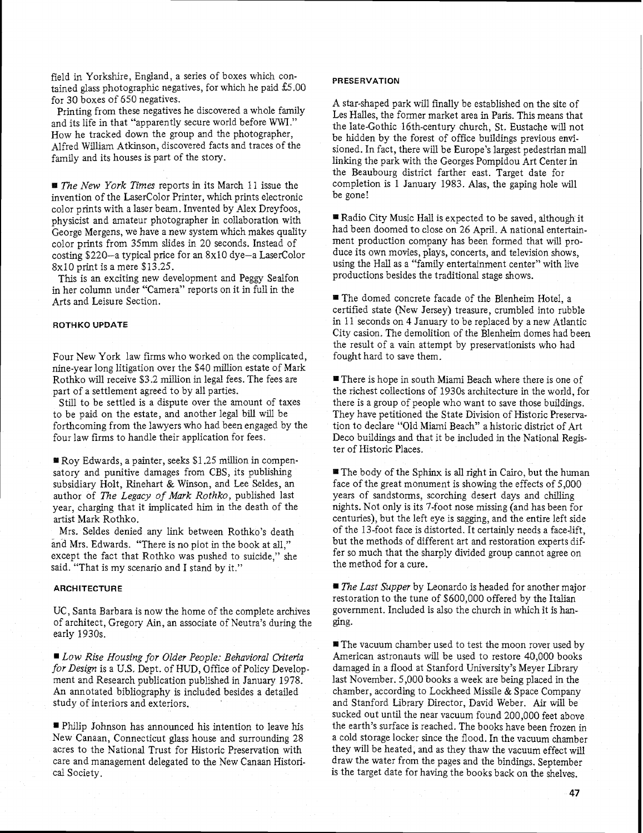field in Yorkshire, England, a series of boxes which contained glass photographic negatives, for which he paid  $£5.00$ for 30 boxes of 650 negatives.

Printing from these negatives he discovered a whole family and its life in that "apparently secure world before WWI." How he tracked down the group and the photographer, Alfred William Atkinson, discovered facts and traces of the family and its houses is part of the story.

*The New York Times* reports in its March 11 issue the invention of the LaserColor Printer, which prints electronic color prints with a laser beam. Invented by Alex Dreyfoos, physicist and amateur photographer in collaboration with George Mergens, we have a new system which makes quality color prints from 35mm slides in 20 seconds. Instead of costing \$220-a typical price for an 8x10 dye-a LaserColor 8x10 print is a mere \$13.25.

This is an exciting new development and Peggy Sealfon in her column under "Camera" reports on it in full in the Arts and Leisure Section.

### **ROTHKO UPDATE**

Four New York law firms who worked on the complicated, nine-year long litigation over the \$40 million estate of Mark Rothko will receive \$3.2 million in legal fees. The fees are part of a settlement agreed to by all parties.

Still to be settled is a dispute over the amount of taxes to be paid on the estate, and another legal bill will be forthcoming from the lawyers who had been engaged by the four law firms to handle their application for fees.

Roy Edwards, a painter, seeks \$1.25 million in compensatory and punitive damages from CBS, its publishing subsidiary Holt, Rinehart & Winson, and Lee Seldes, an author of *The Legacy of Mark Rothko,* published last year, charging that it implicated him in the death of the artist Mark Rothko.

Mrs. Seldes denied any link between Rothko's death and Mrs. Edwards. "There is no plot in the book at all," except the fact that Rothko was pushed to suicide," she said. "That is my scenario and I stand by it."

### **ARCHITECTURE**

UC, Santa Barbara is now the home of the complete archives of architect, Gregory Ain, an associate of Neutra's during the early 1930s.

*Low Rise Housing for Older People: Behavioral Criteria for* **Design** is a U.S. Dept. of HUD, Office of Policy Development and Research publication published in January 1978. An annotated bibliography is included besides a detailed study of interiors and exteriors.

Philip Johnson has announced his intention to leave his New Canaan, Connecticut glass house and surrounding 28 acres to the National Trust for Historic Preservation with care and management delegated to the New Canaan Historical Society.

### **PRESERVATION**

A star-shaped park will fmally be established on the site of Les Halles, the former market area in Paris. This means that the late-Gothic 16th-century church, St. Eustache will not be hidden by the forest of office buildings previous envisioned. In fact, there will be Europe's largest pedestrian mall linking the park with the Georges Pompidou Art Center in the Beaubourg district farther east. Target date for completion is 1 January 1983. Alas, the gaping hole will be gone!

■ Radio City Music Hall is expected to be saved, although it had been doomed to close on 26 April. A national entertainment production company has been formed that will produce its own movies, plays, concerts, and television shows, using the Hall as a "family entertainment center" with live productions besides the traditional stage shows.

■ The domed concrete facade of the Blenheim Hotel, a certified state (New Jersey) treasure, crumbled into rubble in 11 seconds on 4 January to be replaced by a new Atlantic City casion. The demolition of the Blenheim domes had been the result of a vain attempt by preservationists who had fought hard to save them.

There is hope in south Miami Beach where there is one of the richest collections of 1930s architecture in the world, for there is a group of people who want to save those buildings. They have petitioned the State Division of Historic Preservation to declare "Old Miami Beach" a historic district of Art Deco buildings and that it be included in the National Register of Historic Places.

5 The body of the Sphinx is all right in Cairo, but the human face of the great monument is showing the effects of 5,000 years of sandstorms, scorching desert days and chilling nights. Not only is its ?-foot nose missing (and has been for centuries), but the left eye is sagging, and the entire left side of the 13-foot face is distorted. It certainly needs a face-lift, but the methods of different art and restoration experts differ so much that the sharply divided group cannot agree on the method for a cure.

■ *The Last Supper* by Leonardo is headed for another major restoration to the tune of \$600,000 offered by the Italian government. Included is also the church in which it is hanging.

**■ The vacuum chamber used to test the moon rover used by** American astronauts will be used to restore 40,000 books damaged in a flood at Stanford University's Meyer Library last November. 5,000 books a week are being placed in the chamber, according to Lockheed Missile & Space Company and Stanford Library Director, David Weber. Air will be sucked out until the near vacuum found 200,000 feet above the earth's surface is reached. The books have been frozen in a cold storage locker since the flood. In the vacuum chamber they will be heated, and as they thaw the vacuum effect will draw the water from the pages and the bindings. September is the target date for having the books back on the shelves.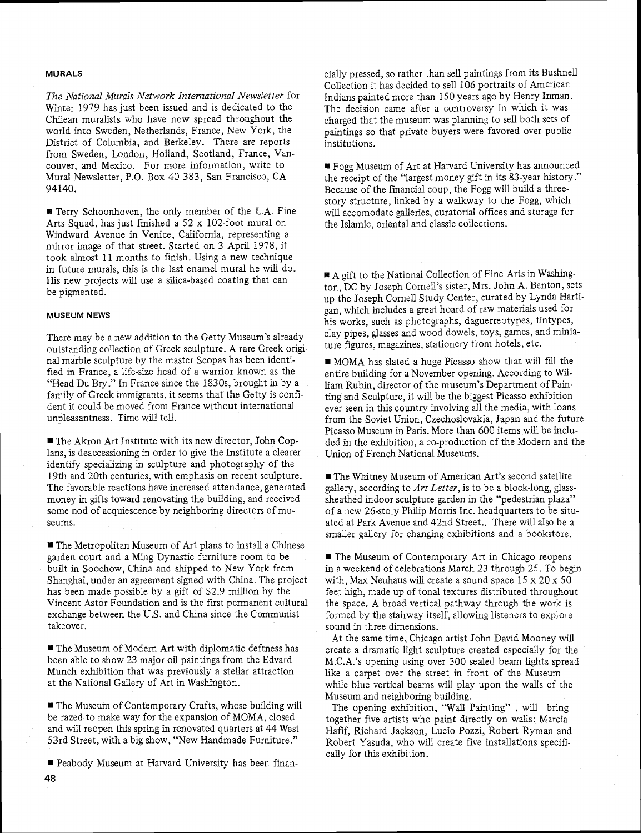### **MURALS**

*The National Murals Network International Newsletter* for Winter *1979* has just been issued and is dedicated to the Chilean muralists who have now spread throughout the world into Sweden, Netherlands, France, New York, the District of Columbia, and Berkeley. There are reports from Sweden, London, Holland, Scotland, France, Vancouver, and Mexico. For more information, write to Mural Newsletter, P.O. Box 40 383, San Francisco, CA 94140.

**r** Terry Schoonhoven, the only member of the L.A. Fine Arts Squad, has just finished a 52 x 102-foot mural on Windward Avenue in Venice, California, representing a mirror image of that street. Started on 3 April 1978, it took almost 11 months to finish. Using a new technique in future murals, this is the last enamel mural he wiU do. His new projects will use a silica-based coating that can be pigmented.

### **MUSEUM NEWS**

There may be a new addition to the Getty Museum's already outstanding collection of Greek sculpture. A rare Greek original marble sculpture by the master Scopas has been identified in France, a life-size head of a warrior known as the "Head Du Bry ." In France since the 1830s, brought in by a family of Greek immigrants, it seems that the Getty is confident it could be moved from France without international unpleasantness. Time will tell,

The Akron Art Institute with its new director, John Coplans, is deaccessioning in order to give the Institute a clearer identify specializing in sculpture and photography of the 19th and 20th centuries, with emphasis on recent sculpture. The favorable reactions have increased attendance, generated money in gifts toward renovating the building, and received some nod of acquiescence by neighboring directors of museums.

■ The Metropolitan Museum of Art plans to install a Chinese garden court and a Ming Dynastic furniture room to be built in Soochow, China and shipped to New York from Shanghai, under an agreement signed with China. The project has been made possible by a gift of \$2.9 million by the Vincent Astor Foundation and is the first permanent culturaI exchange between the U.S. and China since the Communist takeover.

The Museum of Modern Art with diplomatic deftness has been able to show 23 major oil paintings from the Edvard Munch exhibition that was previously a stellar attraction at the National Gallery of Art in Washington.

The Museum of Contemporary Crafts, whose building will be razed to make way for the expansion of MOMA, closed and will reopen this spring in renovated quarters at 44 West 53rd Street, with a big show, "New Handmade Furniture."

Peabody Museum at Harvard University has been finan-**48** 

cially pressed, so rather than sell paintings from its Bushnell Collection it has decided to sell 106 portraits of American Indians painted more than 150 years ago by Henry Inman. The decision came after a controversy in which it was charged that the museum was planning to sell both sets of paintings so that private buyers were favored over public institutions.

Fogg Museum of Art at Harvard University has announced the receipt of the "largest money gift in its 83-year history." Because of the financial coup, the Fogg will build a threestory structure, linked by a walkway to the Fogg, which will accomodate galleries, curatorial offices and storage for the Islamic, oriental and classic collections.

A gift to the National Collection of Fine Arts in Washington, DC by Joseph Cornell's sister, Mrs. John A. Benton, sets up the Joseph Cornell Study Center, curated by Lynda Hartigan, which includes a great hoard of raw materials used for his works, such as photographs, daguerreotypes, tintypes, clay pipes, glasses and wood dowels, toys, games, and miniature figures, magazines, stationery from hotels, etc.

MOMA has slated a huge Picasso show that will fill the entire building for a November opening. According to William Rubin, director of the museum's Department of Painting and Sculpture, it will be the biggest Picasso exhibition ever seen in this country involving all the media, with loans from the Soviet Union, Czechoslovakia, Japan and the future Picasso Museum in Paris. More than 600 items will be included in the exhibition, a co-production of the Modern and the Union of French National Museums.

The Whitney Museum of American Art's second satellite gallery, according to *Art Letter,* is to be a block-long, glasssheathed indoor sculpture garden in the "pedestrian plaza" of a new 26-story Philip Morris Inc. headquarters to be situated at Park Avenue and 42nd Street.. There will also be a smaller gallery for changing exhibitions and a bookstore.

■ The Museum of Contemporary Art in Chicago reopens in a weekend of celebrations March 23 through 25. To begin with, Max Neuhaus will create a sound space 15 x 20 x 50 feet high, made up of tonal textures distributed throughout the space. A broad vertical pathway through the work is formed by the stairway itself, allowing listeners to explore sound in three dimensions.

At the same time, Chicago artist John David Mooney will create a dramatic light sculpture created especially for the M.C.A.'s opening using over 300 sealed beam lights spread like a carpet over the street in front of the Museum while blue vertical beams will play upon the walls of the Museum and neighboring building.

The opening exhibition, "Wall Painting" , will bring together five artists who paint directly on walls: Marcia Hafif, Richard Jackson, Lucio Pozzi, Robert Ryman and Robert Yasuda, who will create five installations specifically for this exhibition.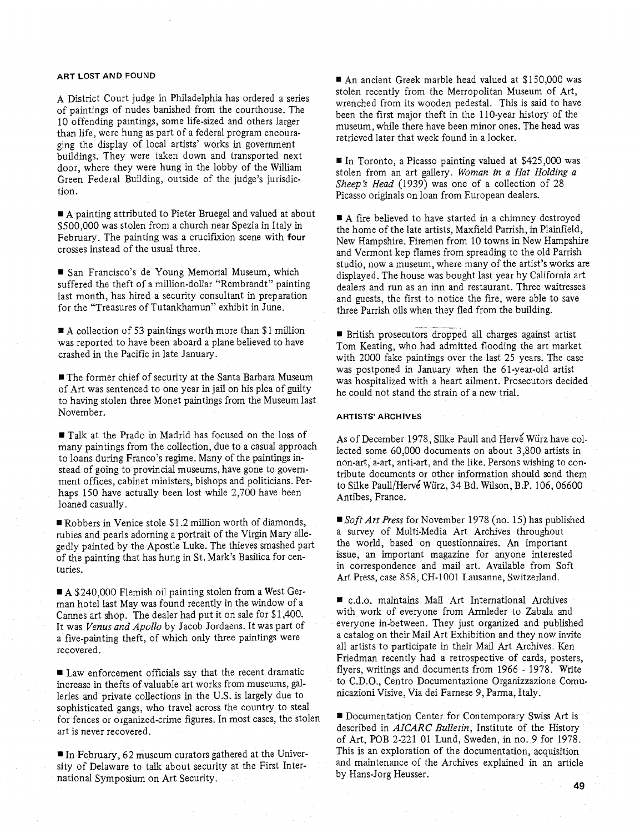A District Court judge in Philadelphia has ordered a series of paintings of nudes banished from the courthouse. The 10 offending paintings, some life-sized and others larger than life, were hung as part of a federal program encouraging the display of local artists' works in government buildings. They were taken down and transported next door, where they were hung in the lobby of the William Green Federal Building, outside of the judge's jurisdiction.

**rn** A painting attributed to Pieter Bruegel and valued at about \$500,000 was stolen from a church near Spezia in Italy in February. The painting was a crucifixion scene with **four** crosses instead of the usual three.

San Francisco's de Young Memorial Museum, which suffered the theft of a million-dollar "Rembrandt" painting last month, has hired a security consultant in preparation for the "Treasures of Tutankhamun" exhibit in June.

**@A** collection of 53 paintings worth more than \$1 million was reported to have been aboard a plane believed to have crashed in the Pacific in late January.

■ The former chief of security at the Santa Barbara Museum of Art was sentenced to one year in jail on his plea of guilty to having stolen three Monet paintings from the Museum last November.

**EI** Talk at the Prado in Madrid has focused on the loss of many paintings from the collection, due to a casual approach to loans during Franco's regime. Many of the paintings instead of going to provincial museums, have gone to government offices, cabinet ministers, bishops and politicians. Perhaps 150 have actually been lost while 2,700 have been loaned casually.

■ Robbers in Venice stole \$1.2 million worth of diamonds, rubies and pearls adorning a portrait of the Virgin Mary allegedly painted by the Apostle Luke. The thieves smashed part of the painting that has hung in St. Mark's Basilica for centuries.

A \$240,000 Flemish oil painting stolen from a West German hotel last May was found recently in the window of a Cannes art shop. The dealer had put it on sale for \$1,400. It was *Venus and Apollo* by Jacob Jordaens. It was part of a five-painting theft, of which only three paintings were recovered.

*<sup>81</sup>*Law enforcement officials say that the recent dramatic increase in thefts of valuable art works from museums, galleries and private collections in the U.S. is largely due to sophisticated gangs, who travel across the country to steal for fences or organized-crime figures. In most cases, the stolen art is never recovered.

In February, 62 museum curators gathered at the University of Delaware to talk about security at the First International Symposium on Art Security.

**ART LOST AND FOUND a** An ancient Greek marble head valued at SI50.000 was stolen recently from the Merropolitan Museum of Art, wrenched from its wooden pedestal. This is said to have been the first major theft in the 110-year history of the museum, while there have been minor ones. The head was retrieved later that week found in a locker.

> ■ In Toronto, a Picasso painting valued at \$425,000 was stolen from an art gallery. *Woman* in a *Hat Holding a Sheep's Head* (1939) was one of a collection of 28 Picasso originals on loan from European dealers.

■ A fire believed to have started in a chimney destroyed the home of the late artists, Maxfield Parrish, in Plainfield, New Hampshire, Firemen from 10 towns in New Hampshire and Vermont kep flames from spreading to the old Parrish studio, now a museum, where many of the artist's works are displayed. The house was bought last year by California art dealers and run as an inn and restaurant. Three waitresses and guests, the first to notice the fire, were able to save three Parrish oils when they fled from the building.

- -- British prosecutors dropped dl charges against artist Tom Keating, who had admitted flooding the art market with 2000 fake paintings over the last 25 years. The case was postponed in January when the 61-year-old artist was hospitalized with a heart ailment. Prosecutors decided he could not stand the strain of a new trial.

### **ARTISTS' ARCHIVES**

As of December 1978, Silke Paull and Hervé Würz have collected some 60,000 documents on about 3,800 artists in non-art, a-art, anti-art, and the like. Persons wishing to contribute documents or other information should send them to Silke Paull/Herve Würz, 34 Bd. Wilson, B.P. 106,06600 Antibes, France.

**Soft** *Art Press* for November *1978* (no. 15) has published a survey of Multi-Media Art Archives throughout the world, based on questionnaires. An important issue, an important magazine for anyone interested in correspondence and mail art. Available from Soft Art Press, case 858, CH-1001 Lausanne, Switzerland.

c.d.0. maintains Mail Art International Archives with work of everyone from Armleder to Zabala and everyone in-between. They just organized and published a catalog on their Mail Art Exhibition and they now invite all artists to participate in their Mail Art Archives. Ken Friedman recently had a retrospective of cards, posters, flyers, writings and documents from 1966 - 1978. Write to C.D.O., Centro Documentazione Organizzazione Comunicazioni Visive, Via dei Farnese 9, Parma. Italy.

~4 Documentation Center for Contemporary Swiss Art is described in *AICARC Bulletin,* Institute of the History of Art, POB 2-221 01 Lund, Sweden, in no. 9 for 1978. This is an exploration of the documentation, acquisition and maintenance of the Archives explained in an article by Hans-Jorg Heusser.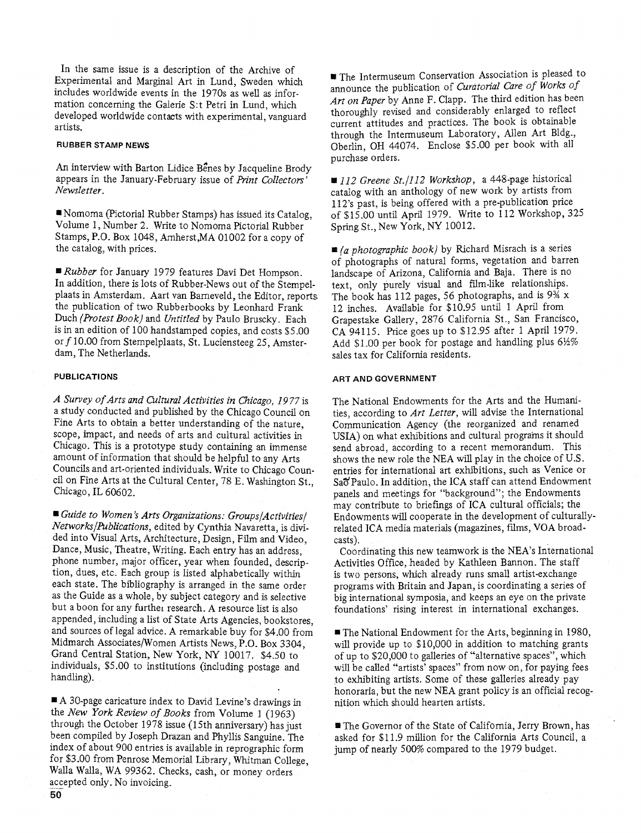In the same issue is a description of the Archive of Experimental and Marginal! **Art** in Lund, Sweden which includes worldwide events jn the 1970s as well as information concerning the Galerie S:t Petri in Lund, which developed worldwide contacts with experimental, vanguard artists.

### **RUBBER** STAMP NEWS

An interview with Barton Lidice Benes by Jacqueline Brody appears in the January-February issue of *Print Collectors' Newsletter* .

Xomoma (Pictorial Rubber Stamps) has issued its Catalog, Volume 1, Number 2. Write to Nomoma Pictorial Rubber Stamps, P.Q. Box 1048, hherst,MA 01002 for a copy of the catalog, with prices.

**9** *Rubber* for January 1979 features Davi Det Hornpson. In addition, there is lots of Rubber-News out of the Stempelplaats in Amsterdam. Aart van Bameveld, the Editor, reports the publication of two Rubberbooks by Eeonhard Frank Duch *(Protest Book)* and *Untitled* by PauIo Bruscky. Each is in an edition of 100 handstamped copies, and costs \$5.00 or *f* 10.00 from Stempelplaats, St. Luciensteeg 25, Amsterdam, The Netherlands.

### **PUBLICATIONS**

*A Survey 0.f Arts and Chltural Activities in Chicago, 19 77* is a study conducted and published by the Chicago Council on Fine Arts to obtain a better understanding of the nature, scope, impact, and needs of arts and cultural activities in Chicago. This is a prototype study containing an immense amount of information that should be helpful to any Arts Councils and art-oriented individuals. Write to Chicago Council on Fine Arts at the Cultural Center, 78 E. Washington St., Chicago, IL 60602.

*Guide to Women* 's *Arts Organizations: Groups/Activities/ Networks/Publications,* edited by Cynthia Navaretta, is divided into Visual Arts, Architecture, Design, Film and Video, Dance, Music, Theatre, Writing. Each entry has an address, phone number, major officer, year when founded, description, dues, etc. Each group is listed alphabetically within each state. The bibliography is arranged in the same order as the Guide as a whole, by subject category and is selective but a boon for any further research. A resource list is also appended, including a list of State Arts Agencies, bookstores, and sources of legal advice. A remarkable buy for \$4.00 from Midmarch Associates/Women Artists News, P.O. Box 3304, Grand Central Station, New York, NY 10017. \$4.50 to individuals, \$5.00 to institutions (including postage and handling).

A 30-page caricature index to David Levine's drawings in the *New York Review of Books* from Volume *1* (1963) through the October 1978 issue (15th anniversary) has just been compiled by Joseph Drazan and Phyllis Sanguine. The index of about 900 entries is available in reprographic form for \$3 .OO from Penrose Memorial Library, Whitman College, Walla Walla, WA 99362. Checks, cash, or money orders accepted only. No invoicing.

The Intermuseum Conservation Association is pleased to announce the publication of *Curatorial Care of Works of Art on Paper* by Anne *F.* Clapp. The third edition has been thoroughly revised and considerably enlarged to reflect current attitudes and practices. The book is obtainable through the Intermuseum Laboratory, Allen Art Bldg., Oberlin, OH 44074. Enclose \$5.00 per book with all purchase orders.

*~~112 Greene St./] 12 Workshop,* a 448-page historical catalog with an anthology of new work by artists from 112's past, is being offered with a pre-publication price of \$15.00 until April 1979. Write to 112 Workshop, 325 Spring St., New York, NY 10012.

*(a photographic book)* by Richard Misrach is a series of photographs of natural forms, vegetation and barren landscape of Arizona, California and Baja. There is no text, only purely visual and film-like relationships. The book has 112 pages, 56 photographs, and is 9% x 12 inches. Available for \$10.95 until 1 April from Grapestake Gallery, 2876 California St., San Francisco, CA 94115. Price goes up to \$12.95 after 1 April 1979. Add \$1.00 per book for postage and handling plus 612% sales tax for California residents.

### ART AND GOVERNMENT

The National Endowments for the Arts and the Humanities, according to *Art Letter,* will advise the International Communication Agency (the reorganized and renamed USIA) on what exhibitions and cultural programs it should send abroad. according to a recent memorandum. This shows the new role the NEA will play in the choice of U.S. entries for international art exhibitions, such as Venice or Sao Paulo. In addition, the ICA staff can attend Endowment panels and meetings for "background"; the Endowments may contribute to briefings of ICA cultural officials; the Endowments will cooperate in the development of culturallyrelated ICA media materials (magazines, films, VOA broadcasts).

Coordinating this new teamwork is the NEA's International Activities Office, headed by Kathleen Bannon. The staff is two persons, which already runs small artist-exchange programs with Britain and Japan, is coordinating a series of big international symposia, and keeps an eye on the private foundations' rising interest in international exchanges.

■ The National Endowment for the Arts, beginning in 1980, will provide up to \$10,000 in addition to matching grants of up to \$20,000 to galleries of "alternative spaces", which will be called "artists' spaces" from now on, for paying fees to exhibiting artists. Some of these galleries already pay honoraria, but the new NEA grant policy is an official recognition which should hearten artists.

■ The Governor of the State of California, Jerry Brown, has asked for \$1 1.9 million for the California Arts Council, a jump of nearly 500% compared to the 1979 budget.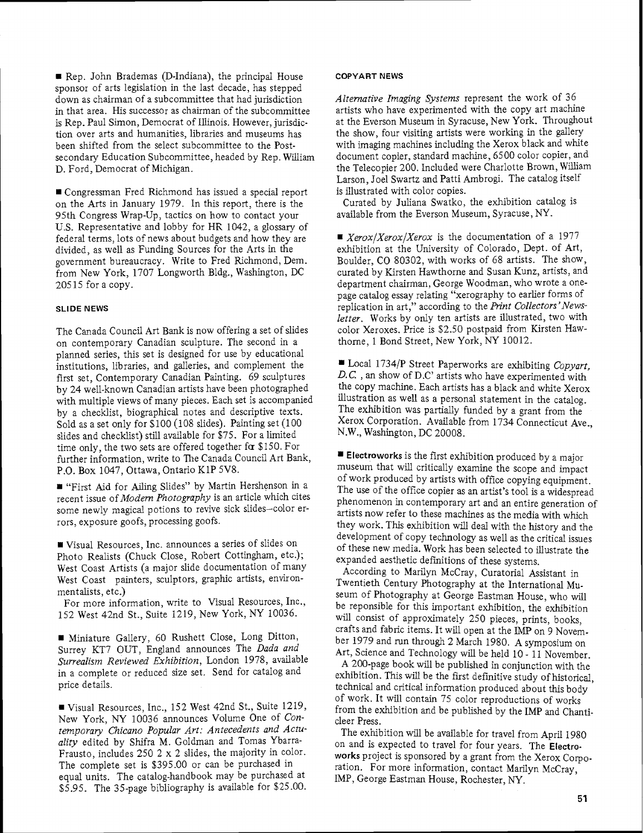Rep. John Brademas (D-Indiana), the principal House sponsor of arts legislation in the last decade, has stepped down as chairman of a subcommittee that had jurisdiction in that area. His successor as chairman of the subcommittee is Rep. Paul Simon, Democrat of Illinois. However, jurisdiction over arts and humanities, libraries and museums has been shifted from the select subcommittee to the Postsecondary Education Subcommittee, headed by Rep. William D. Ford, Democrat of Michigan.

Congressman Fred Richmond has issued a special report on the Arts in January 1979. In this report, there is the 95th Congress Wrap-Up, tactics on how to contact your U.S. Representative and lobby for HR 1042, a glossary of federal terms, lots of news about budgets and how they are divided, as well as Funding Sources for the Arts in the government bureaucracy. Write to Fred Richmond, Dem. from New York, 1707 Longworth Bldg., Washington, DC 205 15 for a copy.

### **SLIDE NEWS**

The Canada Council Art Bank is now offering a set of slides on contemporary Canadian sculpture. The second in a planned series, this set is designed for use by educational institutions, libraries, and galleries, and complement the first set, Contemporary Canadian Painting. 69 sculptures by 24 well-known Canadian artists have been photographed with multiple views of many pieces. Each set is accompanied by a checklist, biographical notes and descriptive texts. Sold as a set only for \$100 (108 slides). Painting set (100 slides and checklist) still available for \$75. For a limited time only, the two sets are offered together for \$150. For further information, write to The Canada Council Art Bank, P.O. Box 1047, Ottawa, Ontario KIP 5V8.

"First Aid for Ailing Slides" by Martin Hershenson in a recent issue of *Modern Photography* is an article which cites some newly magical potions to revive sick slides-color errors, exposure goofs, processing goofs.

Visual Resources, Inc. announces a series of slides on Photo Realists (Chuck Close, Robert Cottingham, etc.); West Coast Artists (a major slide documentation of many West Coast painters, sculptors, graphic artists, environmentalists, etc.)

For more information, write to Visual Resources, Inc., 152 West 42nd St., Suite 1219, New York, NY 10036.

Miniature Gallery, 60 Rushett Close, Long Ditton, Surrey KT7 OUT, England announces The *Dada and Surrealism Reviewed Exfiibition,* London 1978, available in a complete or reduced size set. Send for catalog and price details.

Visual Resources, Inc., 152 West 42nd St., Suite 1219, New York, NY 10036 announces Volume One of *Contemporary Chicano Popular Art: Antecedents and Actuality* edited by Shifra M. Goldman and Tomas Ybarra-Frausto, includes 250 3 x 2 slides, the majority in color. The complete set is \$395.00 or can be purchased in equal units. The catalog-handbook may be purchased at \$5.95. The 35-page bibliography is available for \$25.00.

### **COPYART NEWS**

*Alternative Imaging Systems* represent the work of 36 artists who have experimented with the copy art machine at the Everson Museum in Syracuse, New York. Throughout the show, four visiting artists were working in the gallery with imaging machines including the Xerox black and white document copier, standard machine, 6500 color copier, and the Telecopier 200. included were Charlotte Brown, William Larson, Joel Swartz and Patti Ambrogi. The catalog itself is illustrated with color copies.

Curated by Juliana Swatko, the exhibition catalog is available from the Everson Museum, Syracuse, NU.

■ *Xerox/Xerox/Xerox* is the documentation of a 1977 exhibition at the University of Colorado, Dept. of Art, Boulder, CO 80302, with works of 68 artists. The show, curated by Kirsten Hawthorne and Susan Kunz, artists, and department chairman, George Woodman, who wrote a onepage catalog essay relating "xerography to earlier forms of replication in art," according to the *Print Collectors 'Newsletter.* Works by only ten artists are illustrated, two with color Xeroxes. Price is \$2.50 postpaid from Kirsten Hawthorne, 1 Bond Street, New York, NY 10012.

rn LocaI 1734lP Street Paperworks are exhibiting *Copyart,*  D.C., an show of D.C' artists who have experimented with the copy machine. Each artists has a black and white Xerox illustration as well as a personal statement in the catalog. The exhibition was partially funded by a grant from the Xerox Corporation. Available from 1734 Connecticut Ave., N.W., Washington, DC 20008.

**Electroworks** is the first exhibition produced by a major museum that will critically examine the scope and impact of work produced by artists with office copying equipment. The use of the office copier as an artist's tool is a widespread phenomenon in contemporary art and an entire generation of artists now refer to these machines as the media with which they work. This exhibition will deal with the history and the development of copy technology as well as the critical issues of these new media. Work has been selected to illustrate the expanded aesthetic definitions of these systems.

According to Marilyn McCray, Curatorial Assistant in Twentieth Century Photography at the International Museum of Photography at George Eastman House, who will be reponsible for this important exhibition, the exhibition will consist of approximately 250 pieces, prints, books, crafts and fabric items. It will open at the IMP on 9 November 1979 and run through 2 March 1980. A symposium on Art, Science and Technology will be held 10 - 11 November.

A 200-page book will be published in conjunction with the exhibition. This will be the first definitive study of historical, technical and critical information produced about this body of work. It will contain 75 color reproductions of works from the exhibition and be published by the IMP and Chanticleer Press.

The exhibition will be available for travel from April 1980 on and is expected to travel for four years. The **Electroworks** project is sponsored by a grant from the Xerox Corporation. For more information, contact Marilyn McCray, IMP, George Eastman House, Rochester, NY.